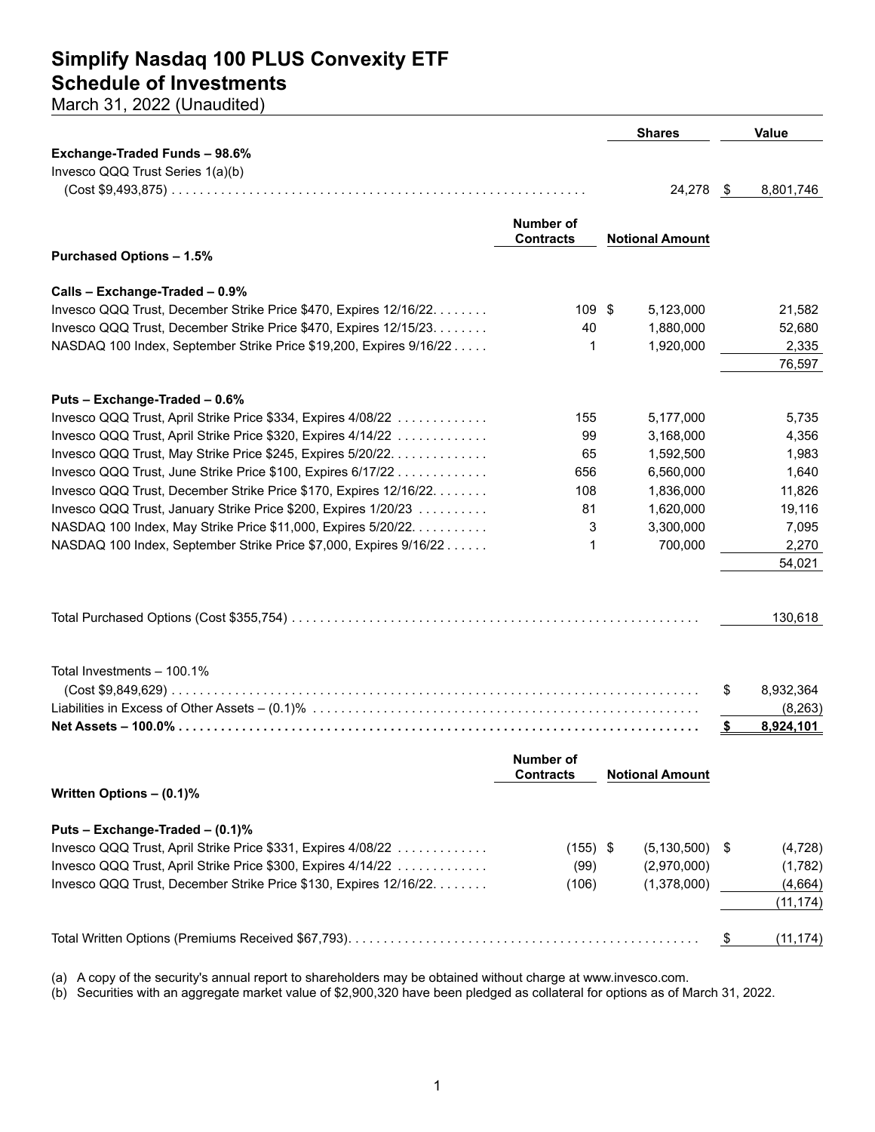## **Simplify Nasdaq 100 PLUS Convexity ETF Schedule of Investments**

March 31, 2022 (Unaudited)

|                                                                    |                  | <b>Shares</b>          |      | <b>Value</b> |
|--------------------------------------------------------------------|------------------|------------------------|------|--------------|
| Exchange-Traded Funds - 98.6%                                      |                  |                        |      |              |
| Invesco QQQ Trust Series 1(a)(b)                                   |                  |                        |      |              |
|                                                                    |                  | 24,278                 | - \$ | 8,801,746    |
|                                                                    |                  |                        |      |              |
|                                                                    | <b>Number of</b> |                        |      |              |
|                                                                    | <b>Contracts</b> | <b>Notional Amount</b> |      |              |
| <b>Purchased Options - 1.5%</b>                                    |                  |                        |      |              |
|                                                                    |                  |                        |      |              |
| Calls - Exchange-Traded - 0.9%                                     |                  |                        |      |              |
| Invesco QQQ Trust, December Strike Price \$470, Expires 12/16/22.  | 109 \$           | 5,123,000              |      | 21,582       |
| Invesco QQQ Trust, December Strike Price \$470, Expires 12/15/23.  | 40               | 1,880,000              |      | 52,680       |
| NASDAQ 100 Index, September Strike Price \$19,200, Expires 9/16/22 | 1                | 1,920,000              |      | 2,335        |
|                                                                    |                  |                        |      | 76,597       |
|                                                                    |                  |                        |      |              |
| Puts - Exchange-Traded - 0.6%                                      |                  |                        |      |              |
| Invesco QQQ Trust, April Strike Price \$334, Expires 4/08/22       | 155              | 5,177,000              |      | 5,735        |
| Invesco QQQ Trust, April Strike Price \$320, Expires 4/14/22       | 99               | 3,168,000              |      | 4,356        |
| Invesco QQQ Trust, May Strike Price \$245, Expires 5/20/22.        | 65               | 1,592,500              |      | 1,983        |
| Invesco QQQ Trust, June Strike Price \$100, Expires 6/17/22        | 656              | 6,560,000              |      | 1,640        |
| Invesco QQQ Trust, December Strike Price \$170, Expires 12/16/22.  | 108              | 1,836,000              |      | 11,826       |
| Invesco QQQ Trust, January Strike Price \$200, Expires 1/20/23     | 81               | 1,620,000              |      | 19,116       |
| NASDAQ 100 Index, May Strike Price \$11,000, Expires 5/20/22.      | 3                | 3,300,000              |      | 7,095        |
| NASDAQ 100 Index, September Strike Price \$7,000, Expires 9/16/22  | 1                | 700,000                |      | 2,270        |
|                                                                    |                  |                        |      | 54,021       |
|                                                                    |                  |                        |      |              |
|                                                                    |                  |                        |      |              |
|                                                                    |                  |                        |      | 130,618      |
|                                                                    |                  |                        |      |              |
|                                                                    |                  |                        |      |              |
| Total Investments - 100.1%                                         |                  |                        |      |              |
|                                                                    |                  |                        | \$   | 8,932,364    |
|                                                                    |                  |                        |      | (8, 263)     |
|                                                                    |                  |                        | \$   | 8,924,101    |
|                                                                    |                  |                        |      |              |
|                                                                    | Number of        |                        |      |              |
|                                                                    | <b>Contracts</b> | <b>Notional Amount</b> |      |              |
| Written Options - (0.1)%                                           |                  |                        |      |              |
|                                                                    |                  |                        |      |              |
| Puts - Exchange-Traded - (0.1)%                                    |                  |                        |      |              |
| Invesco QQQ Trust, April Strike Price \$331, Expires 4/08/22       | $(155)$ \$       | (5, 130, 500)          | -\$  | (4, 728)     |
| Invesco QQQ Trust, April Strike Price \$300, Expires 4/14/22       | (99)             | (2,970,000)            |      | (1,782)      |
| Invesco QQQ Trust, December Strike Price \$130, Expires 12/16/22.  | (106)            | (1,378,000)            |      | (4,664)      |
|                                                                    |                  |                        |      | (11, 174)    |
|                                                                    |                  |                        |      |              |
|                                                                    |                  |                        | \$   | (11, 174)    |
|                                                                    |                  |                        |      |              |

(a) A copy of the security's annual report to shareholders may be obtained without charge at www.invesco.com.

(b) Securities with an aggregate market value of \$2,900,320 have been pledged as collateral for options as of March 31, 2022.